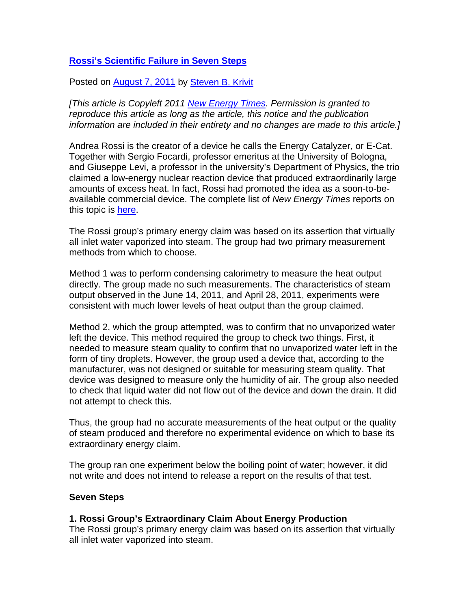# **[Rossi's Scientific Failure in Seven Steps](http://blog.newenergytimes.com/2011/08/07/rossis-scientific-failure-in-seven-steps/)**

Posted on **August 7, 2011** by [Steven B. Krivit](http://blog.newenergytimes.com/author/sbkrivit/)

*[This article is Copyleft 2011 [New Energy Times](http://newenergytimes.com/). Permission is granted to reproduce this article as long as the article, this notice and the publication information are included in their entirety and no changes are made to this article.]*

Andrea Rossi is the creator of a device he calls the Energy Catalyzer, or E-Cat. Together with Sergio Focardi, professor emeritus at the University of Bologna, and Giuseppe Levi, a professor in the university's Department of Physics, the trio claimed a low-energy nuclear reaction device that produced extraordinarily large amounts of excess heat. In fact, Rossi had promoted the idea as a soon-to-beavailable commercial device. The complete list of *New Energy Times* reports on this topic is [here.](http://newenergytimes.com/v2/sr/RossiECat/AndreaRossiAndHisEnergy-Catalyzer.shtml)

The Rossi group's primary energy claim was based on its assertion that virtually all inlet water vaporized into steam. The group had two primary measurement methods from which to choose.

Method 1 was to perform condensing calorimetry to measure the heat output directly. The group made no such measurements. The characteristics of steam output observed in the June 14, 2011, and April 28, 2011, experiments were consistent with much lower levels of heat output than the group claimed.

Method 2, which the group attempted, was to confirm that no unvaporized water left the device. This method required the group to check two things. First, it needed to measure steam quality to confirm that no unvaporized water left in the form of tiny droplets. However, the group used a device that, according to the manufacturer, was not designed or suitable for measuring steam quality. That device was designed to measure only the humidity of air. The group also needed to check that liquid water did not flow out of the device and down the drain. It did not attempt to check this.

Thus, the group had no accurate measurements of the heat output or the quality of steam produced and therefore no experimental evidence on which to base its extraordinary energy claim.

The group ran one experiment below the boiling point of water; however, it did not write and does not intend to release a report on the results of that test.

### **Seven Steps**

### **1. Rossi Group's Extraordinary Claim About Energy Production**

The Rossi group's primary energy claim was based on its assertion that virtually all inlet water vaporized into steam.